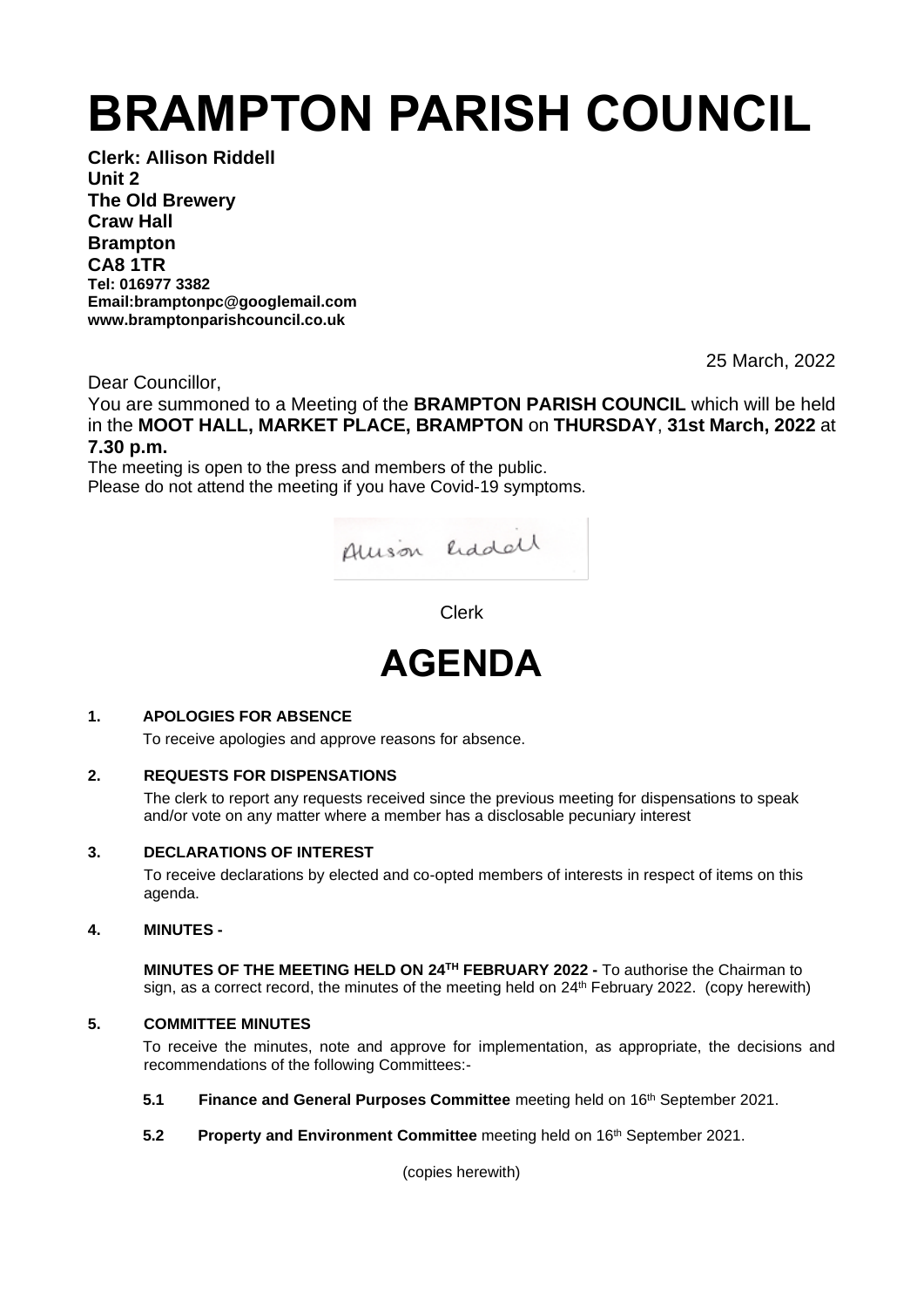# **BRAMPTON PARISH COUNCIL**

**Clerk: Allison Riddell Unit 2 The Old Brewery Craw Hall Brampton CA8 1TR Tel: 016977 3382 Email:bramptonpc@googlemail.com www.bramptonparishcouncil.co.uk**

25 March, 2022

Dear Councillor,

You are summoned to a Meeting of the **BRAMPTON PARISH COUNCIL** which will be held in the **MOOT HALL, MARKET PLACE, BRAMPTON** on **THURSDAY**, **31st March, 2022** at **7.30 p.m.**

The meeting is open to the press and members of the public. Please do not attend the meeting if you have Covid-19 symptoms.



Clerk



# **1. APOLOGIES FOR ABSENCE**

To receive apologies and approve reasons for absence.

# **2. REQUESTS FOR DISPENSATIONS**

The clerk to report any requests received since the previous meeting for dispensations to speak and/or vote on any matter where a member has a disclosable pecuniary interest

# **3. DECLARATIONS OF INTEREST**

To receive declarations by elected and co-opted members of interests in respect of items on this agenda.

# **4. MINUTES -**

**MINUTES OF THE MEETING HELD ON 24<sup>TH</sup> FEBRUARY 2022 - To authorise the Chairman to** sign, as a correct record, the minutes of the meeting held on 24<sup>th</sup> February 2022. (copy herewith)

# **5. COMMITTEE MINUTES**

To receive the minutes, note and approve for implementation, as appropriate, the decisions and recommendations of the following Committees:-

- **5.1 Finance and General Purposes Committee** meeting held on 16<sup>th</sup> September 2021.
- **5.2 Property and Environment Committee** meeting held on 16<sup>th</sup> September 2021.

(copies herewith)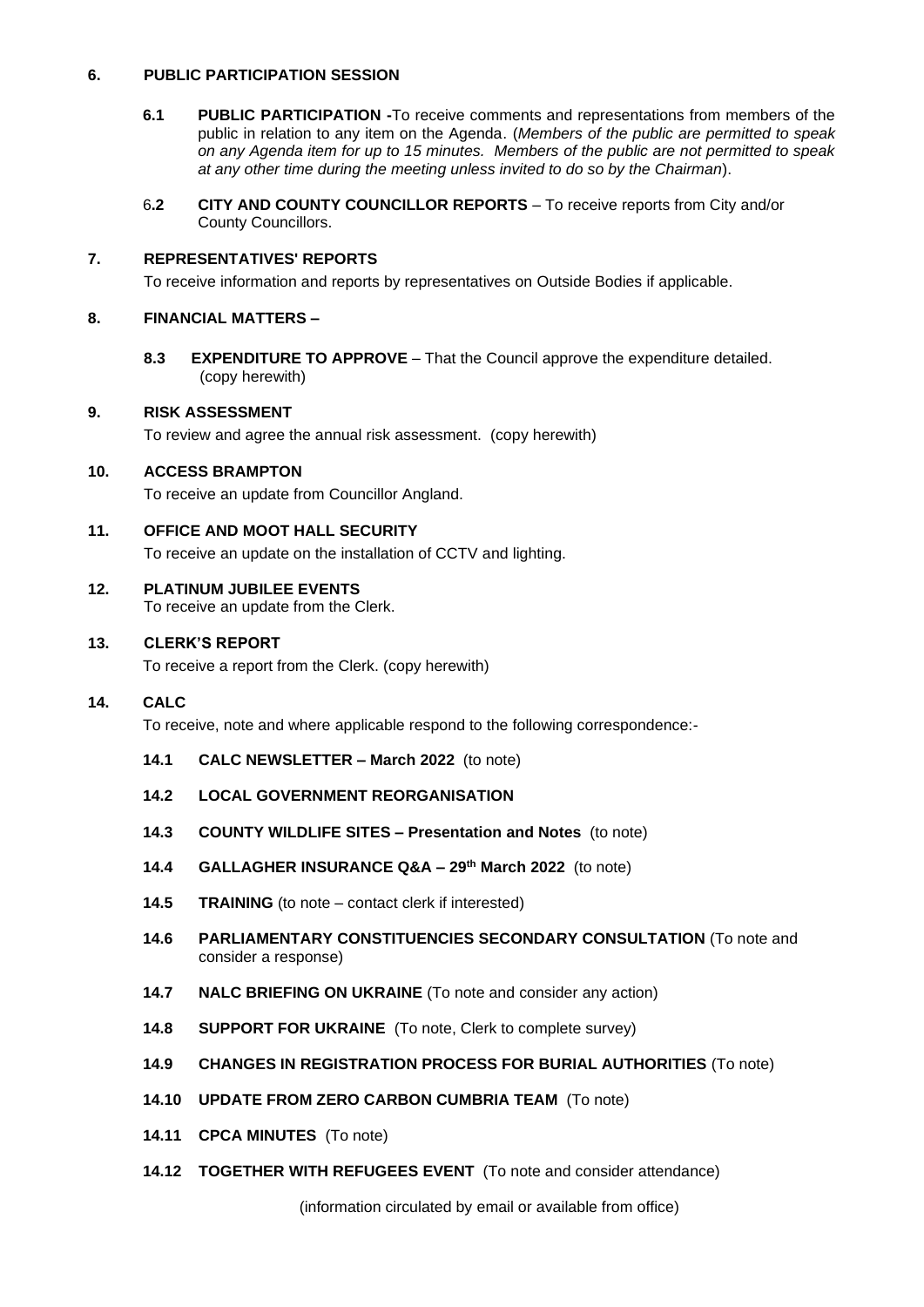#### **6. PUBLIC PARTICIPATION SESSION**

- **6.1 PUBLIC PARTICIPATION -**To receive comments and representations from members of the public in relation to any item on the Agenda. (*Members of the public are permitted to speak on any Agenda item for up to 15 minutes. Members of the public are not permitted to speak at any other time during the meeting unless invited to do so by the Chairman*).
- 6**.2 CITY AND COUNTY COUNCILLOR REPORTS** To receive reports from City and/or County Councillors.

#### **7. REPRESENTATIVES' REPORTS**

To receive information and reports by representatives on Outside Bodies if applicable.

#### **8. FINANCIAL MATTERS –**

 **8.3 EXPENDITURE TO APPROVE** – That the Council approve the expenditure detailed. (copy herewith)

#### **9. RISK ASSESSMENT**

To review and agree the annual risk assessment. (copy herewith)

# **10. ACCESS BRAMPTON**

To receive an update from Councillor Angland.

#### **11. OFFICE AND MOOT HALL SECURITY**

To receive an update on the installation of CCTV and lighting.

#### **12. PLATINUM JUBILEE EVENTS**

To receive an update from the Clerk.

#### **13. CLERK'S REPORT**

To receive a report from the Clerk. (copy herewith)

# **14. CALC**

To receive, note and where applicable respond to the following correspondence:-

- **14.1 CALC NEWSLETTER – March 2022** (to note)
- **14.2 LOCAL GOVERNMENT REORGANISATION**
- **14.3 COUNTY WILDLIFE SITES – Presentation and Notes** (to note)
- **14.4 GALLAGHER INSURANCE Q&A – 29th March 2022** (to note)
- **14.5 TRAINING** (to note contact clerk if interested)
- **14.6 PARLIAMENTARY CONSTITUENCIES SECONDARY CONSULTATION** (To note and consider a response)
- **14.7 NALC BRIEFING ON UKRAINE** (To note and consider any action)
- **14.8 SUPPORT FOR UKRAINE** (To note, Clerk to complete survey)
- **14.9 CHANGES IN REGISTRATION PROCESS FOR BURIAL AUTHORITIES** (To note)
- **14.10 UPDATE FROM ZERO CARBON CUMBRIA TEAM** (To note)
- **14.11 CPCA MINUTES** (To note)
- **14.12 TOGETHER WITH REFUGEES EVENT** (To note and consider attendance)

(information circulated by email or available from office)